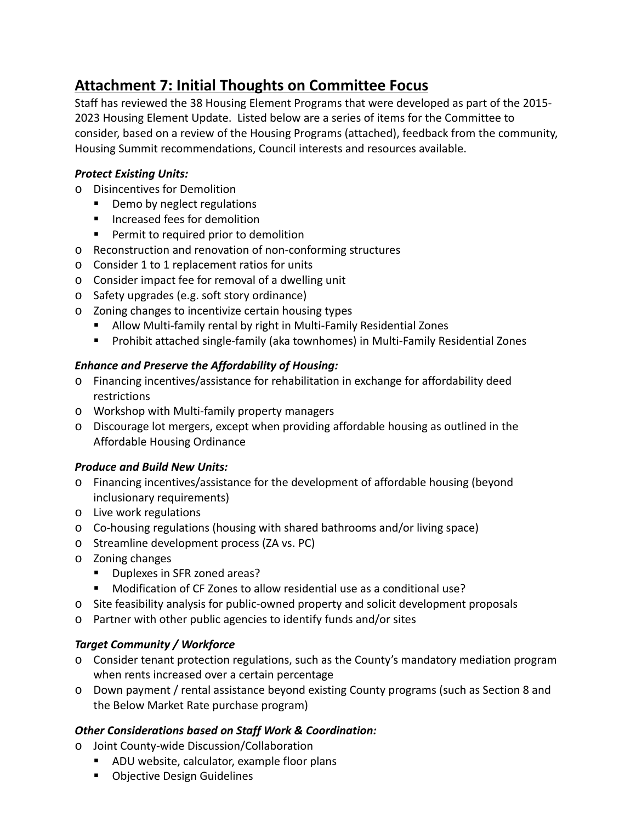# **Attachment 7: Initial Thoughts on Committee Focus**

Staff has reviewed the 38 Housing Element Programs that were developed as part of the 2015‐ 2023 Housing Element Update. Listed below are a series of items for the Committee to consider, based on a review of the Housing Programs (attached), feedback from the community, Housing Summit recommendations, Council interests and resources available.

### *Protect Existing Units:*

- o Disincentives for Demolition
	- **•** Demo by neglect regulations
	- Increased fees for demolition
	- **Permit to required prior to demolition**
- o Reconstruction and renovation of non‐conforming structures
- o Consider 1 to 1 replacement ratios for units
- o Consider impact fee for removal of a dwelling unit
- o Safety upgrades (e.g. soft story ordinance)
- o Zoning changes to incentivize certain housing types
	- Allow Multi-family rental by right in Multi-Family Residential Zones
	- Prohibit attached single-family (aka townhomes) in Multi-Family Residential Zones

### *Enhance and Preserve the Affordability of Housing:*

- o Financing incentives/assistance for rehabilitation in exchange for affordability deed restrictions
- o Workshop with Multi‐family property managers
- o Discourage lot mergers, except when providing affordable housing as outlined in the Affordable Housing Ordinance

### *Produce and Build New Units:*

- o Financing incentives/assistance for the development of affordable housing (beyond inclusionary requirements)
- o Live work regulations
- Co-housing regulations (housing with shared bathrooms and/or living space)
- o Streamline development process (ZA vs. PC)
- o Zoning changes
	- **Duplexes in SFR zoned areas?**
	- Modification of CF Zones to allow residential use as a conditional use?
- o Site feasibility analysis for public‐owned property and solicit development proposals
- o Partner with other public agencies to identify funds and/or sites

# *Target Community / Workforce*

- o Consider tenant protection regulations, such as the County's mandatory mediation program when rents increased over a certain percentage
- o Down payment / rental assistance beyond existing County programs (such as Section 8 and the Below Market Rate purchase program)

# *Other Considerations based on Staff Work & Coordination:*

- o Joint County‐wide Discussion/Collaboration
	- ADU website, calculator, example floor plans
	- **Objective Design Guidelines**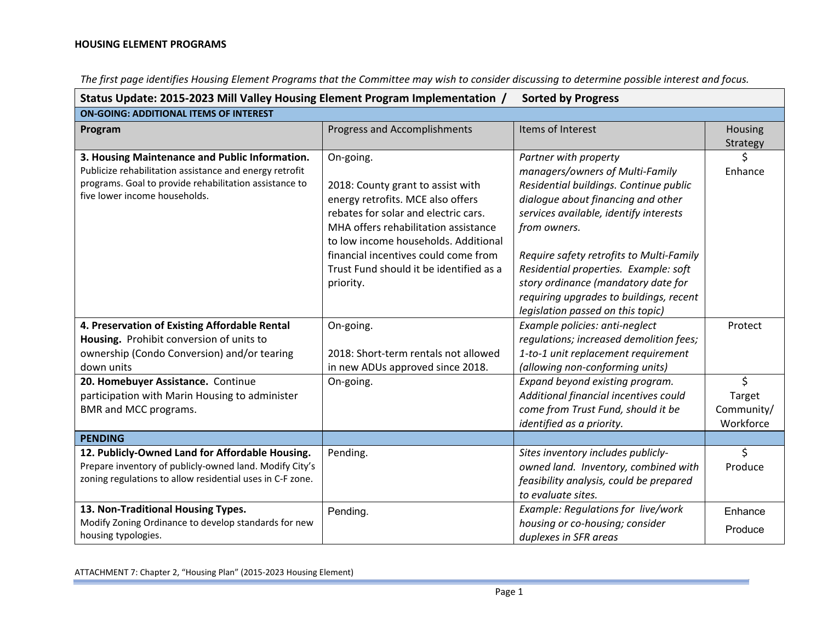| Status Update: 2015-2023 Mill Valley Housing Element Program Implementation /<br><b>Sorted by Progress</b><br><b>ON-GOING: ADDITIONAL ITEMS OF INTEREST</b> |                                         |                                          |            |
|-------------------------------------------------------------------------------------------------------------------------------------------------------------|-----------------------------------------|------------------------------------------|------------|
|                                                                                                                                                             |                                         |                                          |            |
|                                                                                                                                                             |                                         |                                          | Strategy   |
| 3. Housing Maintenance and Public Information.                                                                                                              | On-going.                               | Partner with property                    | \$         |
| Publicize rehabilitation assistance and energy retrofit                                                                                                     |                                         | managers/owners of Multi-Family          | Enhance    |
| programs. Goal to provide rehabilitation assistance to                                                                                                      | 2018: County grant to assist with       | Residential buildings. Continue public   |            |
| five lower income households.                                                                                                                               | energy retrofits. MCE also offers       | dialogue about financing and other       |            |
|                                                                                                                                                             | rebates for solar and electric cars.    | services available, identify interests   |            |
|                                                                                                                                                             | MHA offers rehabilitation assistance    | from owners.                             |            |
|                                                                                                                                                             | to low income households. Additional    |                                          |            |
|                                                                                                                                                             | financial incentives could come from    | Require safety retrofits to Multi-Family |            |
|                                                                                                                                                             | Trust Fund should it be identified as a | Residential properties. Example: soft    |            |
|                                                                                                                                                             | priority.                               | story ordinance (mandatory date for      |            |
|                                                                                                                                                             |                                         | requiring upgrades to buildings, recent  |            |
|                                                                                                                                                             |                                         | legislation passed on this topic)        |            |
| 4. Preservation of Existing Affordable Rental                                                                                                               | On-going.                               | Example policies: anti-neglect           | Protect    |
| Housing. Prohibit conversion of units to                                                                                                                    |                                         | regulations; increased demolition fees;  |            |
| ownership (Condo Conversion) and/or tearing                                                                                                                 | 2018: Short-term rentals not allowed    | 1-to-1 unit replacement requirement      |            |
| down units                                                                                                                                                  | in new ADUs approved since 2018.        | (allowing non-conforming units)          |            |
| 20. Homebuyer Assistance. Continue                                                                                                                          | On-going.                               | Expand beyond existing program.          | \$         |
| participation with Marin Housing to administer                                                                                                              |                                         | Additional financial incentives could    | Target     |
| BMR and MCC programs.                                                                                                                                       |                                         | come from Trust Fund, should it be       | Community/ |
|                                                                                                                                                             |                                         | identified as a priority.                | Workforce  |
| <b>PENDING</b>                                                                                                                                              |                                         |                                          |            |
| 12. Publicly-Owned Land for Affordable Housing.                                                                                                             | Pending.                                | Sites inventory includes publicly-       | \$         |
| Prepare inventory of publicly-owned land. Modify City's                                                                                                     |                                         | owned land. Inventory, combined with     | Produce    |
| zoning regulations to allow residential uses in C-F zone.                                                                                                   |                                         | feasibility analysis, could be prepared  |            |
|                                                                                                                                                             |                                         | to evaluate sites.                       |            |
| 13. Non-Traditional Housing Types.                                                                                                                          | Pending.                                | Example: Regulations for live/work       | Enhance    |
| Modify Zoning Ordinance to develop standards for new                                                                                                        |                                         | housing or co-housing; consider          | Produce    |
| housing typologies.                                                                                                                                         |                                         | duplexes in SFR areas                    |            |

The first page identifies Housing Element Programs that the Committee may wish to consider discussing to determine possible interest and focus.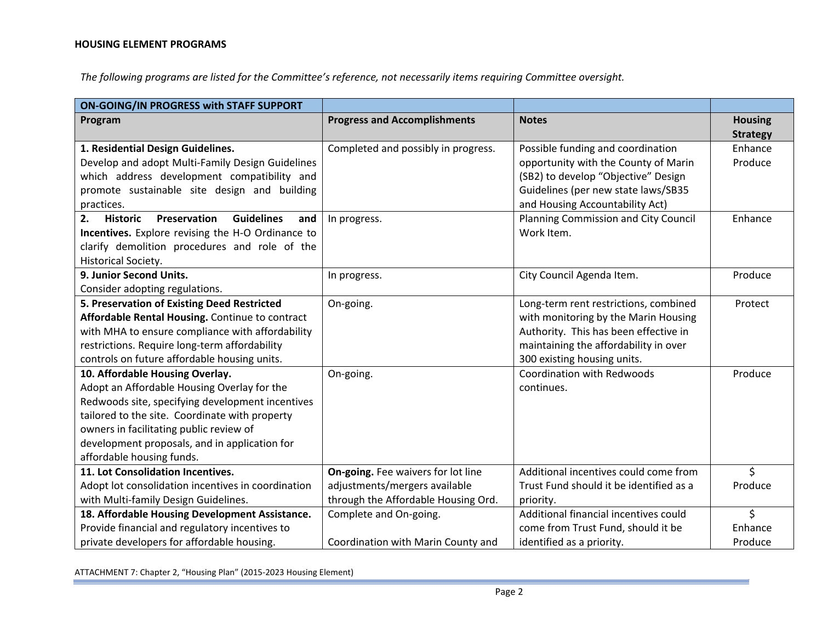*The following programs are listed for the Committee's reference, not necessarily items requiring Committee oversight.*

| ON-GOING/IN PROGRESS with STAFF SUPPORT                           |                                     |                                         |                 |
|-------------------------------------------------------------------|-------------------------------------|-----------------------------------------|-----------------|
| Program                                                           | <b>Progress and Accomplishments</b> | <b>Notes</b>                            | <b>Housing</b>  |
|                                                                   |                                     |                                         | <b>Strategy</b> |
| 1. Residential Design Guidelines.                                 | Completed and possibly in progress. | Possible funding and coordination       | Enhance         |
| Develop and adopt Multi-Family Design Guidelines                  |                                     | opportunity with the County of Marin    | Produce         |
| which address development compatibility and                       |                                     | (SB2) to develop "Objective" Design     |                 |
| promote sustainable site design and building                      |                                     | Guidelines (per new state laws/SB35     |                 |
| practices.                                                        |                                     | and Housing Accountability Act)         |                 |
| <b>Guidelines</b><br>Preservation<br>2.<br><b>Historic</b><br>and | In progress.                        | Planning Commission and City Council    | Enhance         |
| Incentives. Explore revising the H-O Ordinance to                 |                                     | Work Item.                              |                 |
| clarify demolition procedures and role of the                     |                                     |                                         |                 |
| Historical Society.                                               |                                     |                                         |                 |
| 9. Junior Second Units.                                           | In progress.                        | City Council Agenda Item.               | Produce         |
| Consider adopting regulations.                                    |                                     |                                         |                 |
| 5. Preservation of Existing Deed Restricted                       | On-going.                           | Long-term rent restrictions, combined   | Protect         |
| Affordable Rental Housing. Continue to contract                   |                                     | with monitoring by the Marin Housing    |                 |
| with MHA to ensure compliance with affordability                  |                                     | Authority. This has been effective in   |                 |
| restrictions. Require long-term affordability                     |                                     | maintaining the affordability in over   |                 |
| controls on future affordable housing units.                      |                                     | 300 existing housing units.             |                 |
| 10. Affordable Housing Overlay.                                   | On-going.                           | <b>Coordination with Redwoods</b>       | Produce         |
| Adopt an Affordable Housing Overlay for the                       |                                     | continues.                              |                 |
| Redwoods site, specifying development incentives                  |                                     |                                         |                 |
| tailored to the site. Coordinate with property                    |                                     |                                         |                 |
| owners in facilitating public review of                           |                                     |                                         |                 |
| development proposals, and in application for                     |                                     |                                         |                 |
| affordable housing funds.                                         |                                     |                                         |                 |
| 11. Lot Consolidation Incentives.                                 | On-going. Fee waivers for lot line  | Additional incentives could come from   | \$              |
| Adopt lot consolidation incentives in coordination                | adjustments/mergers available       | Trust Fund should it be identified as a | Produce         |
| with Multi-family Design Guidelines.                              | through the Affordable Housing Ord. | priority.                               |                 |
| 18. Affordable Housing Development Assistance.                    | Complete and On-going.              | Additional financial incentives could   | \$              |
| Provide financial and regulatory incentives to                    |                                     | come from Trust Fund, should it be      | Enhance         |
| private developers for affordable housing.                        | Coordination with Marin County and  | identified as a priority.               | Produce         |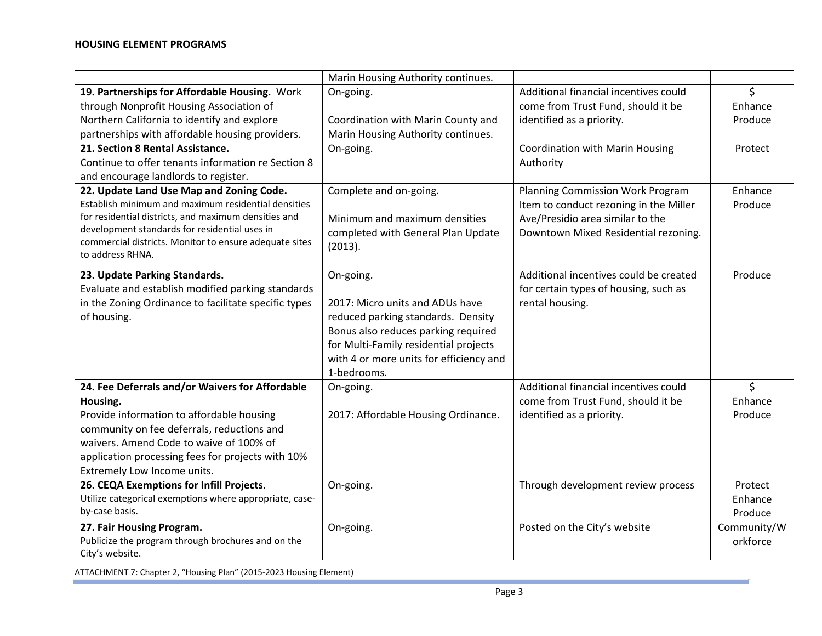|                                                                                                         | Marin Housing Authority continues.                     |                                        |             |
|---------------------------------------------------------------------------------------------------------|--------------------------------------------------------|----------------------------------------|-------------|
| 19. Partnerships for Affordable Housing. Work                                                           | On-going.                                              | Additional financial incentives could  | \$          |
| through Nonprofit Housing Association of                                                                |                                                        | come from Trust Fund, should it be     | Enhance     |
| Northern California to identify and explore                                                             | Coordination with Marin County and                     | identified as a priority.              | Produce     |
| partnerships with affordable housing providers.                                                         | Marin Housing Authority continues.                     |                                        |             |
| 21. Section 8 Rental Assistance.                                                                        | On-going.                                              | Coordination with Marin Housing        | Protect     |
| Continue to offer tenants information re Section 8                                                      |                                                        | Authority                              |             |
| and encourage landlords to register.                                                                    |                                                        |                                        |             |
| 22. Update Land Use Map and Zoning Code.                                                                | Complete and on-going.                                 | Planning Commission Work Program       | Enhance     |
| Establish minimum and maximum residential densities                                                     |                                                        | Item to conduct rezoning in the Miller | Produce     |
| for residential districts, and maximum densities and                                                    | Minimum and maximum densities                          | Ave/Presidio area similar to the       |             |
| development standards for residential uses in<br>commercial districts. Monitor to ensure adequate sites | completed with General Plan Update                     | Downtown Mixed Residential rezoning.   |             |
| to address RHNA.                                                                                        | (2013).                                                |                                        |             |
|                                                                                                         |                                                        |                                        |             |
| 23. Update Parking Standards.                                                                           | On-going.                                              | Additional incentives could be created | Produce     |
| Evaluate and establish modified parking standards                                                       |                                                        | for certain types of housing, such as  |             |
| in the Zoning Ordinance to facilitate specific types                                                    | 2017: Micro units and ADUs have                        | rental housing.                        |             |
| of housing.                                                                                             | reduced parking standards. Density                     |                                        |             |
|                                                                                                         | Bonus also reduces parking required                    |                                        |             |
|                                                                                                         | for Multi-Family residential projects                  |                                        |             |
|                                                                                                         | with 4 or more units for efficiency and<br>1-bedrooms. |                                        |             |
| 24. Fee Deferrals and/or Waivers for Affordable                                                         | On-going.                                              | Additional financial incentives could  | \$          |
| Housing.                                                                                                |                                                        | come from Trust Fund, should it be     | Enhance     |
| Provide information to affordable housing                                                               | 2017: Affordable Housing Ordinance.                    | identified as a priority.              | Produce     |
| community on fee deferrals, reductions and                                                              |                                                        |                                        |             |
| waivers. Amend Code to waive of 100% of                                                                 |                                                        |                                        |             |
| application processing fees for projects with 10%                                                       |                                                        |                                        |             |
| Extremely Low Income units.                                                                             |                                                        |                                        |             |
| 26. CEQA Exemptions for Infill Projects.                                                                | On-going.                                              | Through development review process     | Protect     |
| Utilize categorical exemptions where appropriate, case-                                                 |                                                        |                                        | Enhance     |
| by-case basis.                                                                                          |                                                        |                                        | Produce     |
| 27. Fair Housing Program.                                                                               | On-going.                                              | Posted on the City's website           | Community/W |
| Publicize the program through brochures and on the                                                      |                                                        |                                        | orkforce    |
| City's website.                                                                                         |                                                        |                                        |             |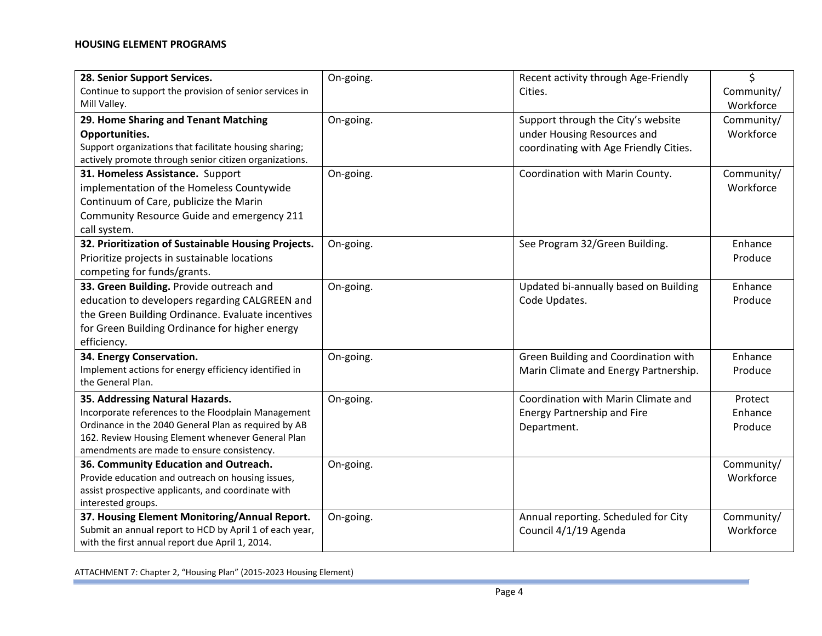| 28. Senior Support Services.                                            | On-going. | Recent activity through Age-Friendly   | \$                      |
|-------------------------------------------------------------------------|-----------|----------------------------------------|-------------------------|
| Continue to support the provision of senior services in<br>Mill Valley. |           | Cities.                                | Community/<br>Workforce |
| 29. Home Sharing and Tenant Matching                                    | On-going. | Support through the City's website     | Community/              |
| Opportunities.                                                          |           | under Housing Resources and            | Workforce               |
| Support organizations that facilitate housing sharing;                  |           | coordinating with Age Friendly Cities. |                         |
| actively promote through senior citizen organizations.                  |           |                                        |                         |
| 31. Homeless Assistance. Support                                        | On-going. | Coordination with Marin County.        | Community/              |
| implementation of the Homeless Countywide                               |           |                                        | Workforce               |
| Continuum of Care, publicize the Marin                                  |           |                                        |                         |
| Community Resource Guide and emergency 211                              |           |                                        |                         |
| call system.                                                            |           |                                        |                         |
| 32. Prioritization of Sustainable Housing Projects.                     | On-going. | See Program 32/Green Building.         | Enhance                 |
| Prioritize projects in sustainable locations                            |           |                                        | Produce                 |
| competing for funds/grants.                                             |           |                                        |                         |
| 33. Green Building. Provide outreach and                                | On-going. | Updated bi-annually based on Building  | Enhance                 |
| education to developers regarding CALGREEN and                          |           | Code Updates.                          | Produce                 |
| the Green Building Ordinance. Evaluate incentives                       |           |                                        |                         |
| for Green Building Ordinance for higher energy                          |           |                                        |                         |
| efficiency.                                                             |           |                                        |                         |
| 34. Energy Conservation.                                                | On-going. | Green Building and Coordination with   | Enhance                 |
| Implement actions for energy efficiency identified in                   |           | Marin Climate and Energy Partnership.  | Produce                 |
| the General Plan.                                                       |           |                                        |                         |
| 35. Addressing Natural Hazards.                                         | On-going. | Coordination with Marin Climate and    | Protect                 |
| Incorporate references to the Floodplain Management                     |           | <b>Energy Partnership and Fire</b>     | Enhance                 |
| Ordinance in the 2040 General Plan as required by AB                    |           | Department.                            | Produce                 |
| 162. Review Housing Element whenever General Plan                       |           |                                        |                         |
| amendments are made to ensure consistency.                              |           |                                        |                         |
| 36. Community Education and Outreach.                                   | On-going. |                                        | Community/              |
| Provide education and outreach on housing issues,                       |           |                                        | Workforce               |
| assist prospective applicants, and coordinate with                      |           |                                        |                         |
| interested groups.                                                      |           |                                        |                         |
| 37. Housing Element Monitoring/Annual Report.                           | On-going. | Annual reporting. Scheduled for City   | Community/              |
| Submit an annual report to HCD by April 1 of each year,                 |           | Council 4/1/19 Agenda                  | Workforce               |
| with the first annual report due April 1, 2014.                         |           |                                        |                         |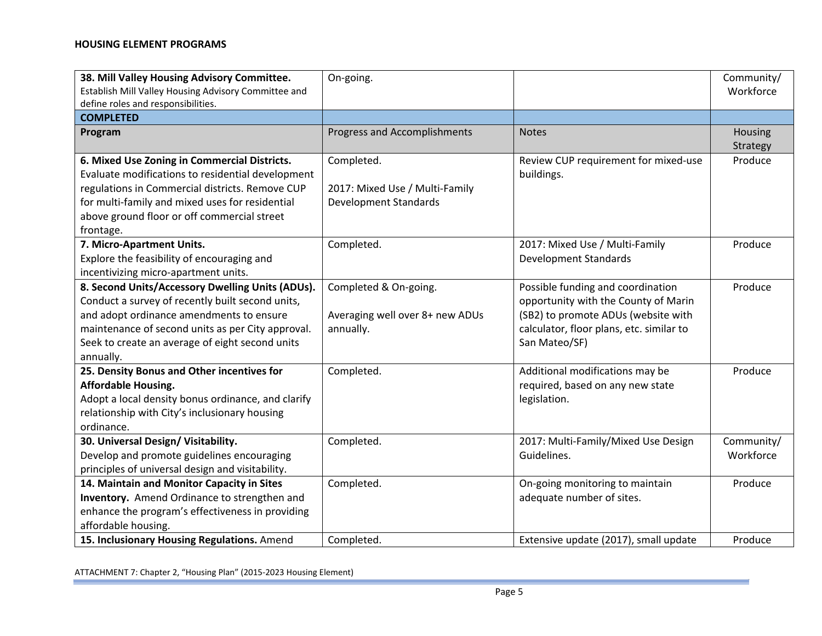| 38. Mill Valley Housing Advisory Committee.<br>Establish Mill Valley Housing Advisory Committee and<br>define roles and responsibilities.                                                                                                                             | On-going.                                                                    |                                                                                                                                                                               | Community/<br>Workforce |
|-----------------------------------------------------------------------------------------------------------------------------------------------------------------------------------------------------------------------------------------------------------------------|------------------------------------------------------------------------------|-------------------------------------------------------------------------------------------------------------------------------------------------------------------------------|-------------------------|
| <b>COMPLETED</b>                                                                                                                                                                                                                                                      |                                                                              |                                                                                                                                                                               |                         |
| Program                                                                                                                                                                                                                                                               | <b>Progress and Accomplishments</b>                                          | <b>Notes</b>                                                                                                                                                                  | Housing<br>Strategy     |
| 6. Mixed Use Zoning in Commercial Districts.<br>Evaluate modifications to residential development<br>regulations in Commercial districts. Remove CUP<br>for multi-family and mixed uses for residential<br>above ground floor or off commercial street<br>frontage.   | Completed.<br>2017: Mixed Use / Multi-Family<br><b>Development Standards</b> | Review CUP requirement for mixed-use<br>buildings.                                                                                                                            | Produce                 |
| 7. Micro-Apartment Units.<br>Explore the feasibility of encouraging and<br>incentivizing micro-apartment units.                                                                                                                                                       | Completed.                                                                   | 2017: Mixed Use / Multi-Family<br><b>Development Standards</b>                                                                                                                | Produce                 |
| 8. Second Units/Accessory Dwelling Units (ADUs).<br>Conduct a survey of recently built second units,<br>and adopt ordinance amendments to ensure<br>maintenance of second units as per City approval.<br>Seek to create an average of eight second units<br>annually. | Completed & On-going.<br>Averaging well over 8+ new ADUs<br>annually.        | Possible funding and coordination<br>opportunity with the County of Marin<br>(SB2) to promote ADUs (website with<br>calculator, floor plans, etc. similar to<br>San Mateo/SF) | Produce                 |
| 25. Density Bonus and Other incentives for<br><b>Affordable Housing.</b><br>Adopt a local density bonus ordinance, and clarify<br>relationship with City's inclusionary housing<br>ordinance.                                                                         | Completed.                                                                   | Additional modifications may be<br>required, based on any new state<br>legislation.                                                                                           | Produce                 |
| 30. Universal Design/ Visitability.<br>Develop and promote guidelines encouraging<br>principles of universal design and visitability.                                                                                                                                 | Completed.                                                                   | 2017: Multi-Family/Mixed Use Design<br>Guidelines.                                                                                                                            | Community/<br>Workforce |
| 14. Maintain and Monitor Capacity in Sites<br>Inventory. Amend Ordinance to strengthen and<br>enhance the program's effectiveness in providing<br>affordable housing.<br>15. Inclusionary Housing Regulations. Amend                                                  | Completed.<br>Completed.                                                     | On-going monitoring to maintain<br>adequate number of sites.<br>Extensive update (2017), small update                                                                         | Produce<br>Produce      |
|                                                                                                                                                                                                                                                                       |                                                                              |                                                                                                                                                                               |                         |